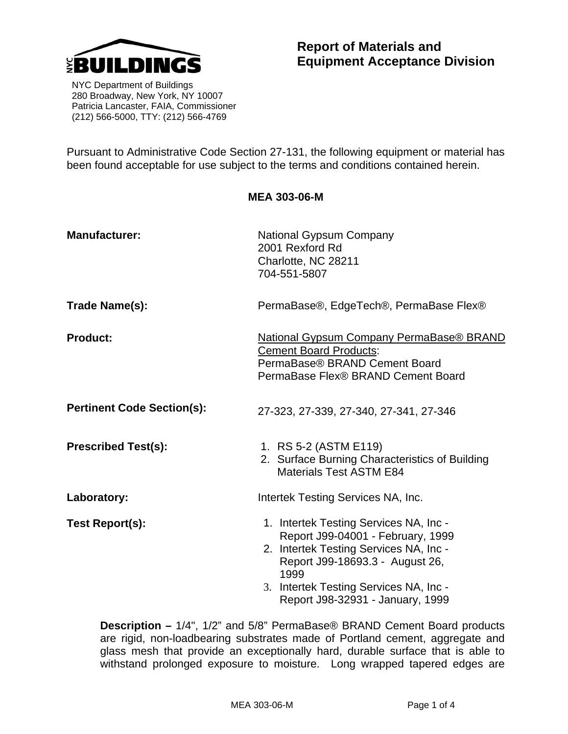

 NYC Department of Buildings 280 Broadway, New York, NY 10007 Patricia Lancaster, FAIA, Commissioner (212) 566-5000, TTY: (212) 566-4769

Pursuant to Administrative Code Section 27-131, the following equipment or material has been found acceptable for use subject to the terms and conditions contained herein.

| <b>MEA 303-06-M</b>               |                                                                                                                                                                                                                                                |
|-----------------------------------|------------------------------------------------------------------------------------------------------------------------------------------------------------------------------------------------------------------------------------------------|
| <b>Manufacturer:</b>              | <b>National Gypsum Company</b><br>2001 Rexford Rd<br>Charlotte, NC 28211<br>704-551-5807                                                                                                                                                       |
| Trade Name(s):                    | PermaBase®, EdgeTech®, PermaBase Flex®                                                                                                                                                                                                         |
| <b>Product:</b>                   | National Gypsum Company PermaBase® BRAND<br><b>Cement Board Products:</b><br>PermaBase® BRAND Cement Board<br>PermaBase Flex® BRAND Cement Board                                                                                               |
| <b>Pertinent Code Section(s):</b> | 27-323, 27-339, 27-340, 27-341, 27-346                                                                                                                                                                                                         |
| <b>Prescribed Test(s):</b>        | 1. RS 5-2 (ASTM E119)<br>2. Surface Burning Characteristics of Building<br><b>Materials Test ASTM E84</b>                                                                                                                                      |
| Laboratory:                       | Intertek Testing Services NA, Inc.                                                                                                                                                                                                             |
| Test Report(s):                   | 1. Intertek Testing Services NA, Inc -<br>Report J99-04001 - February, 1999<br>2. Intertek Testing Services NA, Inc -<br>Report J99-18693.3 - August 26,<br>1999<br>3. Intertek Testing Services NA, Inc -<br>Report J98-32931 - January, 1999 |

**Description –** 1/4", 1/2" and 5/8" PermaBase® BRAND Cement Board products are rigid, non-loadbearing substrates made of Portland cement, aggregate and glass mesh that provide an exceptionally hard, durable surface that is able to withstand prolonged exposure to moisture. Long wrapped tapered edges are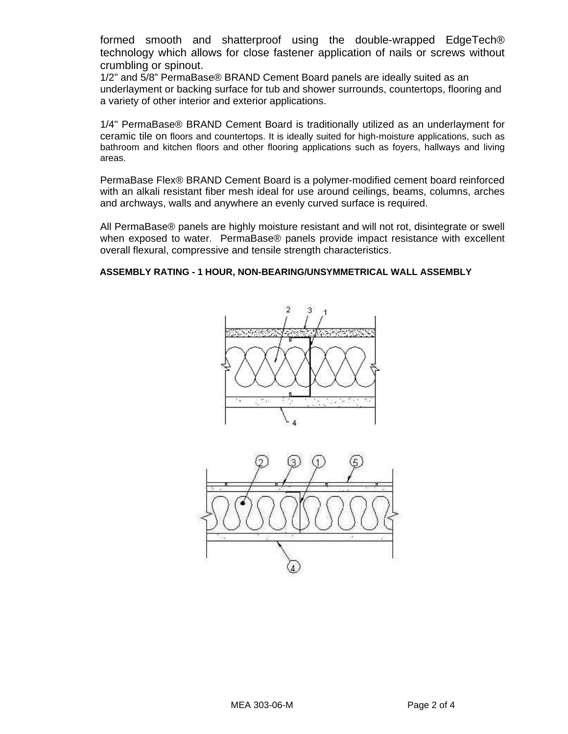formed smooth and shatterproof using the double-wrapped EdgeTech® technology which allows for close fastener application of nails or screws without crumbling or spinout.

1/2" and 5/8" PermaBase® BRAND Cement Board panels are ideally suited as an underlayment or backing surface for tub and shower surrounds, countertops, flooring and a variety of other interior and exterior applications.

1/4" PermaBase® BRAND Cement Board is traditionally utilized as an underlayment for ceramic tile on floors and countertops. It is ideally suited for high-moisture applications, such as bathroom and kitchen floors and other flooring applications such as foyers, hallways and living areas.

PermaBase Flex® BRAND Cement Board is a polymer-modified cement board reinforced with an alkali resistant fiber mesh ideal for use around ceilings, beams, columns, arches and archways, walls and anywhere an evenly curved surface is required.

All PermaBase® panels are highly moisture resistant and will not rot, disintegrate or swell when exposed to water. PermaBase® panels provide impact resistance with excellent overall flexural, compressive and tensile strength characteristics.

## **ASSEMBLY RATING - 1 HOUR, NON-BEARING/UNSYMMETRICAL WALL ASSEMBLY**



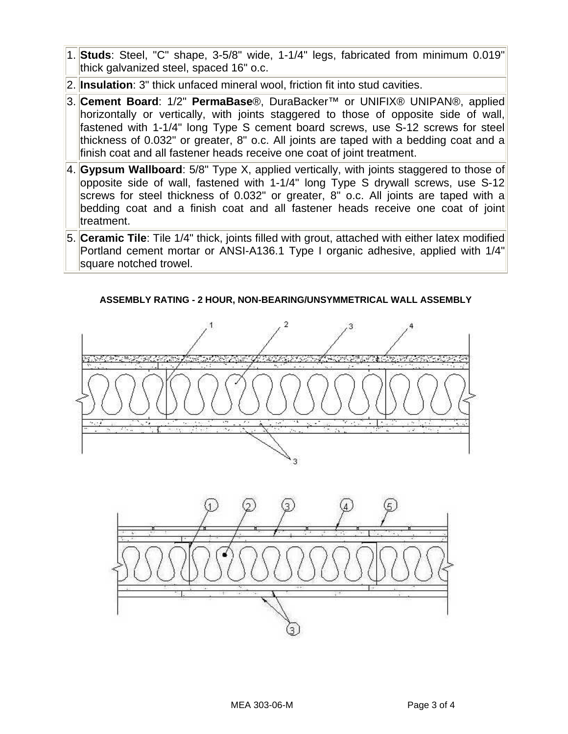- 1. **Studs**: Steel, "C" shape, 3-5/8" wide, 1-1/4" legs, fabricated from minimum 0.019" thick galvanized steel, spaced 16" o.c.
- 2. **Insulation**: 3" thick unfaced mineral wool, friction fit into stud cavities.
- 3. **Cement Board**: 1/2" **PermaBase**®, DuraBacker™ or UNIFIX® UNIPAN®, applied horizontally or vertically, with joints staggered to those of opposite side of wall, fastened with 1-1/4" long Type S cement board screws, use S-12 screws for steel thickness of 0.032" or greater, 8" o.c. All joints are taped with a bedding coat and a finish coat and all fastener heads receive one coat of joint treatment.
- 4. **Gypsum Wallboard**: 5/8" Type X, applied vertically, with joints staggered to those of opposite side of wall, fastened with 1-1/4" long Type S drywall screws, use S-12 screws for steel thickness of 0.032" or greater, 8" o.c. All joints are taped with a bedding coat and a finish coat and all fastener heads receive one coat of joint treatment.
- 5. **Ceramic Tile**: Tile 1/4" thick, joints filled with grout, attached with either latex modified Portland cement mortar or ANSI-A136.1 Type I organic adhesive, applied with 1/4" square notched trowel.

## **ASSEMBLY RATING - 2 HOUR, NON-BEARING/UNSYMMETRICAL WALL ASSEMBLY**